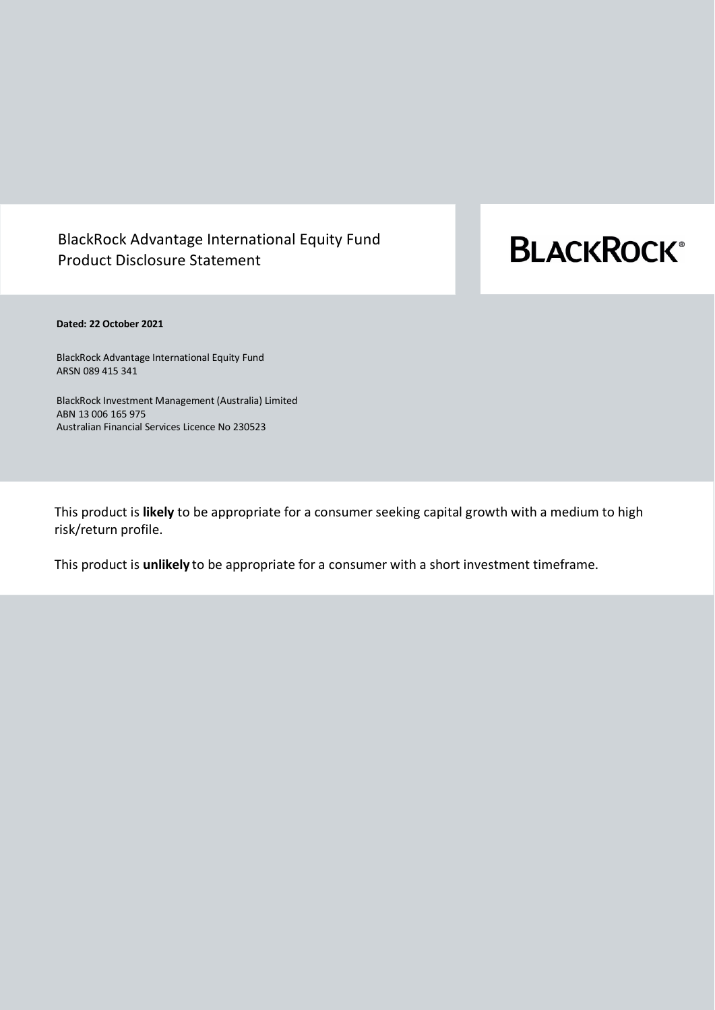# BlackRock Advantage International Equity Fund Product Disclosure Statement

# **BLACKROCK®**

# **Dated: 22 October 2021**

BlackRock Advantage International Equity Fund ARSN 089 415 341

BlackRock Investment Management (Australia) Limited ABN 13 006 165 975 Australian Financial Services Licence No 230523

This product is **likely** to be appropriate for a consumer seeking capital growth with a medium to high risk/return profile.

This product is **unlikely** to be appropriate for a consumer with a short investment timeframe.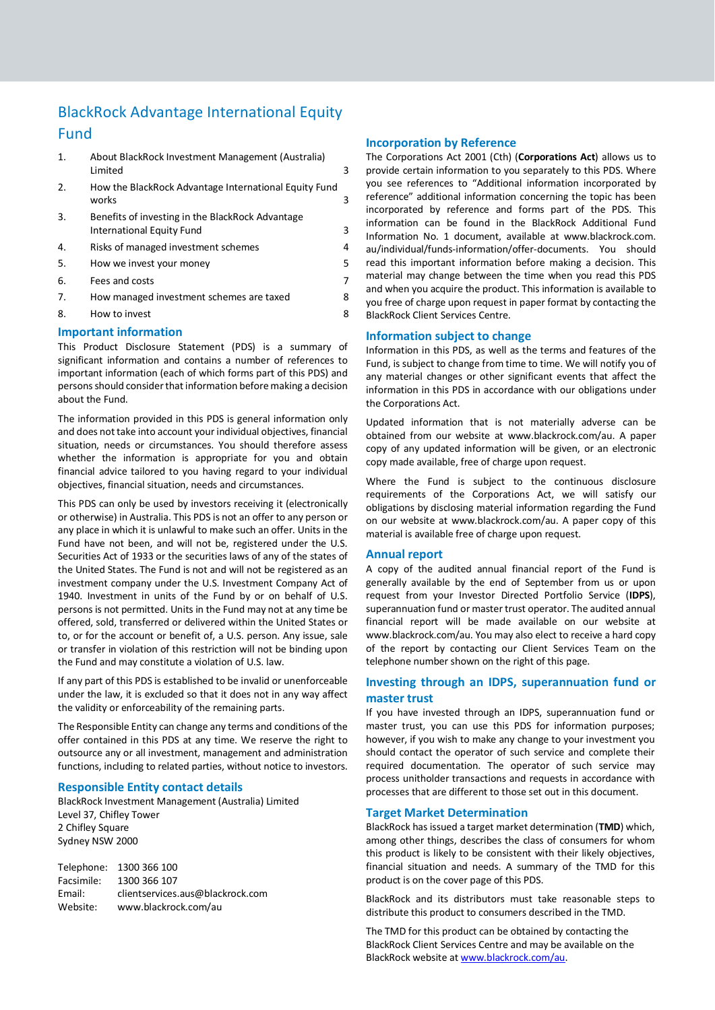# BlackRock Advantage International Equity Fund

- 1. [About BlackRock Investment Management \(Australia\)](#page-2-0)  [Limited](#page-2-0) 3
- 2. [How the BlackRock Advantage](#page-2-1) International Equity Fund [works](#page-2-1) 3
- 3. [Benefits of investing in the BlackRock Advantage](#page-2-2) [International Equity Fund](#page-2-2) 3
- 4. [Risks of managed investment schemes](#page-3-0) 4
- 5. [How we invest your money](#page-4-0)
- 6. [Fees and costs](#page-6-0) 7
- 7. How managed investment schemes are taxed 8
- 8. How to invest 8

# **Important information**

This Product Disclosure Statement (PDS) is a summary of significant information and contains a number of references to important information (each of which forms part of this PDS) and persons should consider that information before making a decision about the Fund.

The information provided in this PDS is general information only and does not take into account your individual objectives, financial situation, needs or circumstances. You should therefore assess whether the information is appropriate for you and obtain financial advice tailored to you having regard to your individual objectives, financial situation, needs and circumstances.

This PDS can only be used by investors receiving it (electronically or otherwise) in Australia. This PDS is not an offer to any person or any place in which it is unlawful to make such an offer. Units in the Fund have not been, and will not be, registered under the U.S. Securities Act of 1933 or the securities laws of any of the states of the United States. The Fund is not and will not be registered as an investment company under the U.S. Investment Company Act of 1940. Investment in units of the Fund by or on behalf of U.S. persons is not permitted. Units in the Fund may not at any time be offered, sold, transferred or delivered within the United States or to, or for the account or benefit of, a U.S. person. Any issue, sale or transfer in violation of this restriction will not be binding upon the Fund and may constitute a violation of U.S. law.

If any part of this PDS is established to be invalid or unenforceable under the law, it is excluded so that it does not in any way affect the validity or enforceability of the remaining parts.

The Responsible Entity can change any terms and conditions of the offer contained in this PDS at any time. We reserve the right to outsource any or all investment, management and administration functions, including to related parties, without notice to investors.

# **Responsible Entity contact details**

BlackRock Investment Management (Australia) Limited Level 37, Chifley Tower 2 Chifley Square Sydney NSW 2000

Telephone: 1300 366 100 Facsimile: 1300 366 107 Email: clientservices.aus@blackrock.com Website: www.blackrock.com/au

# **Incorporation by Reference**

The Corporations Act 2001 (Cth) (**Corporations Act**) allows us to provide certain information to you separately to this PDS. Where you see references to "Additional information incorporated by reference" additional information concerning the topic has been incorporated by reference and forms part of the PDS. This information can be found in the BlackRock Additional Fund Information No. 1 document, available at www.blackrock.com. au/individual/funds-information/offer-documents. You should read this important information before making a decision. This material may change between the time when you read this PDS and when you acquire the product. This information is available to you free of charge upon request in paper format by contacting the BlackRock Client Services Centre.

# **Information subject to change**

Information in this PDS, as well as the terms and features of the Fund, is subject to change from time to time. We will notify you of any material changes or other significant events that affect the information in this PDS in accordance with our obligations under the Corporations Act.

Updated information that is not materially adverse can be obtained from our website at www.blackrock.com/au. A paper copy of any updated information will be given, or an electronic copy made available, free of charge upon request.

Where the Fund is subject to the continuous disclosure requirements of the Corporations Act, we will satisfy our obligations by disclosing material information regarding the Fund on our website at www.blackrock.com/au. A paper copy of this material is available free of charge upon request.

#### **Annual report**

A copy of the audited annual financial report of the Fund is generally available by the end of September from us or upon request from your Investor Directed Portfolio Service (**IDPS**), superannuation fund or master trust operator. The audited annual financial report will be made available on our website at www.blackrock.com/au. You may also elect to receive a hard copy of the report by contacting our Client Services Team on the telephone number shown on the right of this page.

# **Investing through an IDPS, superannuation fund or master trust**

If you have invested through an IDPS, superannuation fund or master trust, you can use this PDS for information purposes; however, if you wish to make any change to your investment you should contact the operator of such service and complete their required documentation. The operator of such service may process unitholder transactions and requests in accordance with processes that are different to those set out in this document.

#### **Target Market Determination**

BlackRock has issued a target market determination (**TMD**) which, among other things, describes the class of consumers for whom this product is likely to be consistent with their likely objectives, financial situation and needs. A summary of the TMD for this product is on the cover page of this PDS.

BlackRock and its distributors must take reasonable steps to distribute this product to consumers described in the TMD.

The TMD for this product can be obtained by contacting the BlackRock Client Services Centre and may be available on the BlackRock website a[t www.blackrock.com/au.](http://www.blackrock.com.au/)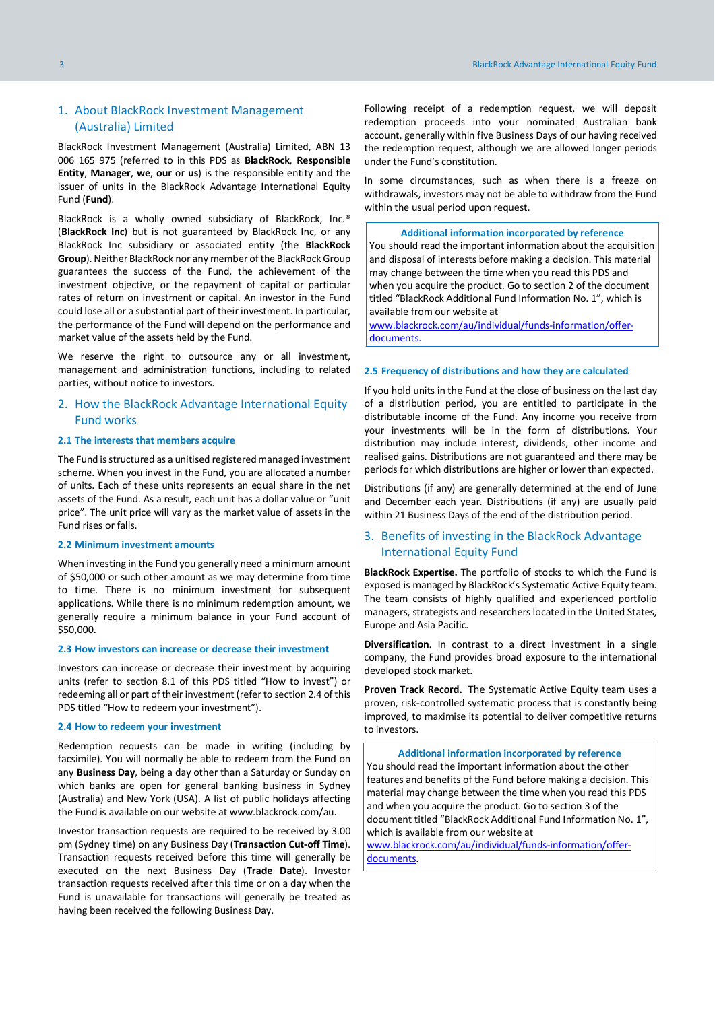# <span id="page-2-0"></span>1. About BlackRock Investment Management (Australia) Limited

BlackRock Investment Management (Australia) Limited, ABN 13 006 165 975 (referred to in this PDS as **BlackRock**, **Responsible Entity**, **Manager**, **we**, **our** or **us**) is the responsible entity and the issuer of units in the BlackRock Advantage International Equity Fund (**Fund**).

BlackRock is a wholly owned subsidiary of BlackRock, Inc.® (**BlackRock Inc**) but is not guaranteed by BlackRock Inc, or any BlackRock Inc subsidiary or associated entity (the **BlackRock Group**). Neither BlackRock nor any member of the BlackRock Group guarantees the success of the Fund, the achievement of the investment objective, or the repayment of capital or particular rates of return on investment or capital. An investor in the Fund could lose all or a substantial part of their investment. In particular, the performance of the Fund will depend on the performance and market value of the assets held by the Fund.

We reserve the right to outsource any or all investment, management and administration functions, including to related parties, without notice to investors.

# <span id="page-2-1"></span>2. How the BlackRock Advantage International Equity Fund works

#### **2.1 The interests that members acquire**

The Fund is structured as a unitised registered managed investment scheme. When you invest in the Fund, you are allocated a number of units. Each of these units represents an equal share in the net assets of the Fund. As a result, each unit has a dollar value or "unit price". The unit price will vary as the market value of assets in the Fund rises or falls.

#### **2.2 Minimum investment amounts**

When investing in the Fund you generally need a minimum amount of \$50,000 or such other amount as we may determine from time to time. There is no minimum investment for subsequent applications. While there is no minimum redemption amount, we generally require a minimum balance in your Fund account of \$50,000.

#### **2.3 How investors can increase or decrease their investment**

Investors can increase or decrease their investment by acquiring units (refer to section 8.1 of this PDS titled "How to invest") or redeeming all or part of their investment(refer to section 2.4 of this PDS titled "How to redeem your investment").

#### **2.4 How to redeem your investment**

Redemption requests can be made in writing (including by facsimile). You will normally be able to redeem from the Fund on any **Business Day**, being a day other than a Saturday or Sunday on which banks are open for general banking business in Sydney (Australia) and New York (USA). A list of public holidays affecting the Fund is available on our website at www.blackrock.com/au.

Investor transaction requests are required to be received by 3.00 pm (Sydney time) on any Business Day (**Transaction Cut-off Time**). Transaction requests received before this time will generally be executed on the next Business Day (**Trade Date**). Investor transaction requests received after this time or on a day when the Fund is unavailable for transactions will generally be treated as having been received the following Business Day.

Following receipt of a redemption request, we will deposit redemption proceeds into your nominated Australian bank account, generally within five Business Days of our having received the redemption request, although we are allowed longer periods under the Fund's constitution.

In some circumstances, such as when there is a freeze on withdrawals, investors may not be able to withdraw from the Fund within the usual period upon request.

#### **Additional information incorporated by reference**

You should read the important information about the acquisition and disposal of interests before making a decision. This material may change between the time when you read this PDS and when you acquire the product. Go to section 2 of the document titled "BlackRock Additional Fund Information No. 1", which is available from our website at

www.blackrock.com/au/individual/funds-information/offerdocuments.

#### **2.5 Frequency of distributions and how they are calculated**

If you hold units in the Fund at the close of business on the last day of a distribution period, you are entitled to participate in the distributable income of the Fund. Any income you receive from your investments will be in the form of distributions. Your distribution may include interest, dividends, other income and realised gains. Distributions are not guaranteed and there may be periods for which distributions are higher or lower than expected.

Distributions (if any) are generally determined at the end of June and December each year. Distributions (if any) are usually paid within 21 Business Days of the end of the distribution period.

# <span id="page-2-2"></span>3. Benefits of investing in the BlackRock Advantage International Equity Fund

**BlackRock Expertise.** The portfolio of stocks to which the Fund is exposed is managed by BlackRock's Systematic Active Equity team. The team consists of highly qualified and experienced portfolio managers, strategists and researchers located in the United States, Europe and Asia Pacific.

**Diversification**. In contrast to a direct investment in a single company, the Fund provides broad exposure to the international developed stock market.

**Proven Track Record.** The Systematic Active Equity team uses a proven, risk-controlled systematic process that is constantly being improved, to maximise its potential to deliver competitive returns to investors.

**Additional information incorporated by reference** You should read the important information about the other features and benefits of the Fund before making a decision. This material may change between the time when you read this PDS and when you acquire the product. Go to section 3 of the document titled "BlackRock Additional Fund Information No. 1", which is available from our website at

www.blackrock.com/au/individual/funds-information/offerdocuments.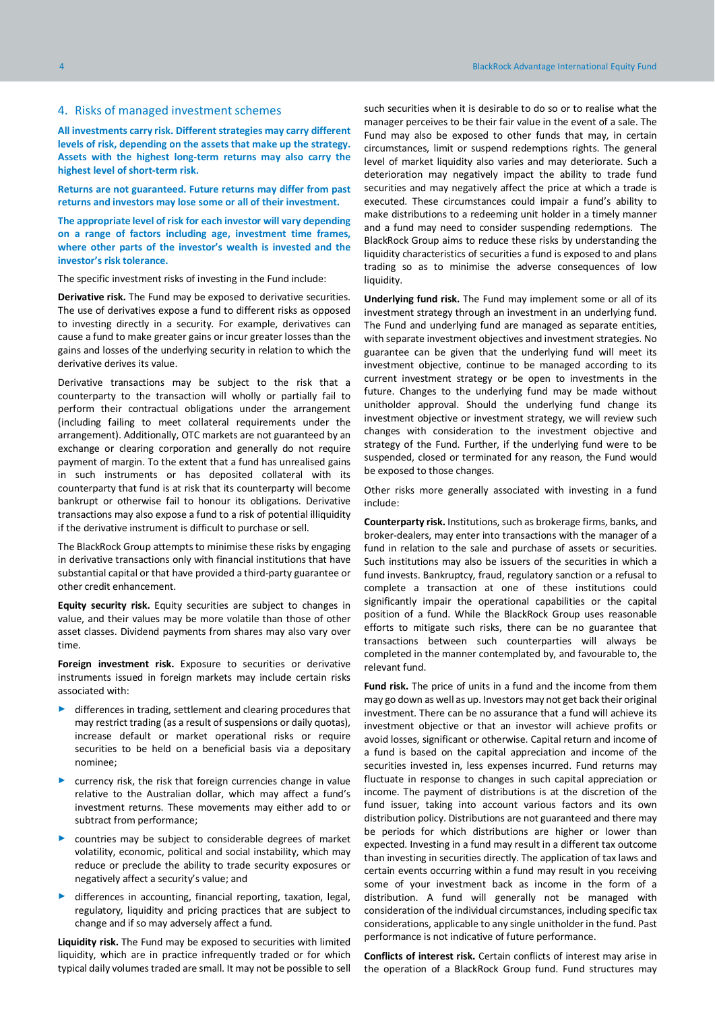#### <span id="page-3-0"></span>4. Risks of managed investment schemes

**All investments carry risk. Different strategies may carry different levels of risk, depending on the assets that make up the strategy. Assets with the highest long-term returns may also carry the highest level of short-term risk.**

**Returns are not guaranteed. Future returns may differ from past returns and investors may lose some or all of their investment.** 

**The appropriate level of risk for each investor will vary depending on a range of factors including age, investment time frames, where other parts of the investor's wealth is invested and the investor's risk tolerance.**

The specific investment risks of investing in the Fund include:

**Derivative risk.** The Fund may be exposed to derivative securities. The use of derivatives expose a fund to different risks as opposed to investing directly in a security. For example, derivatives can cause a fund to make greater gains or incur greater losses than the gains and losses of the underlying security in relation to which the derivative derives its value.

Derivative transactions may be subject to the risk that a counterparty to the transaction will wholly or partially fail to perform their contractual obligations under the arrangement (including failing to meet collateral requirements under the arrangement). Additionally, OTC markets are not guaranteed by an exchange or clearing corporation and generally do not require payment of margin. To the extent that a fund has unrealised gains in such instruments or has deposited collateral with its counterparty that fund is at risk that its counterparty will become bankrupt or otherwise fail to honour its obligations. Derivative transactions may also expose a fund to a risk of potential illiquidity if the derivative instrument is difficult to purchase or sell.

The BlackRock Group attempts to minimise these risks by engaging in derivative transactions only with financial institutions that have substantial capital or that have provided a third-party guarantee or other credit enhancement.

**Equity security risk.** Equity securities are subject to changes in value, and their values may be more volatile than those of other asset classes. Dividend payments from shares may also vary over time.

**Foreign investment risk.** Exposure to securities or derivative instruments issued in foreign markets may include certain risks associated with:

- ► differences in trading, settlement and clearing procedures that may restrict trading (as a result of suspensions or daily quotas), increase default or market operational risks or require securities to be held on a beneficial basis via a depositary nominee;
- currency risk, the risk that foreign currencies change in value relative to the Australian dollar, which may affect a fund's investment returns. These movements may either add to or subtract from performance;
- ► countries may be subject to considerable degrees of market volatility, economic, political and social instability, which may reduce or preclude the ability to trade security exposures or negatively affect a security's value; and
- differences in accounting, financial reporting, taxation, legal, regulatory, liquidity and pricing practices that are subject to change and if so may adversely affect a fund.

**Liquidity risk.** The Fund may be exposed to securities with limited liquidity, which are in practice infrequently traded or for which typical daily volumes traded are small. It may not be possible to sell

such securities when it is desirable to do so or to realise what the manager perceives to be their fair value in the event of a sale. The Fund may also be exposed to other funds that may, in certain circumstances, limit or suspend redemptions rights. The general level of market liquidity also varies and may deteriorate. Such a deterioration may negatively impact the ability to trade fund securities and may negatively affect the price at which a trade is executed. These circumstances could impair a fund's ability to make distributions to a redeeming unit holder in a timely manner and a fund may need to consider suspending redemptions. The BlackRock Group aims to reduce these risks by understanding the liquidity characteristics of securities a fund is exposed to and plans trading so as to minimise the adverse consequences of low liquidity.

**Underlying fund risk.** The Fund may implement some or all of its investment strategy through an investment in an underlying fund. The Fund and underlying fund are managed as separate entities, with separate investment objectives and investment strategies. No guarantee can be given that the underlying fund will meet its investment objective, continue to be managed according to its current investment strategy or be open to investments in the future. Changes to the underlying fund may be made without unitholder approval. Should the underlying fund change its investment objective or investment strategy, we will review such changes with consideration to the investment objective and strategy of the Fund. Further, if the underlying fund were to be suspended, closed or terminated for any reason, the Fund would be exposed to those changes.

Other risks more generally associated with investing in a fund include:

**Counterparty risk.** Institutions, such as brokerage firms, banks, and broker-dealers, may enter into transactions with the manager of a fund in relation to the sale and purchase of assets or securities. Such institutions may also be issuers of the securities in which a fund invests. Bankruptcy, fraud, regulatory sanction or a refusal to complete a transaction at one of these institutions could significantly impair the operational capabilities or the capital position of a fund. While the BlackRock Group uses reasonable efforts to mitigate such risks, there can be no guarantee that transactions between such counterparties will always be completed in the manner contemplated by, and favourable to, the relevant fund.

**Fund risk.** The price of units in a fund and the income from them may go down as well as up. Investors may not get back their original investment. There can be no assurance that a fund will achieve its investment objective or that an investor will achieve profits or avoid losses, significant or otherwise. Capital return and income of a fund is based on the capital appreciation and income of the securities invested in, less expenses incurred. Fund returns may fluctuate in response to changes in such capital appreciation or income. The payment of distributions is at the discretion of the fund issuer, taking into account various factors and its own distribution policy. Distributions are not guaranteed and there may be periods for which distributions are higher or lower than expected. Investing in a fund may result in a different tax outcome than investing in securities directly. The application of tax laws and certain events occurring within a fund may result in you receiving some of your investment back as income in the form of a distribution. A fund will generally not be managed with consideration of the individual circumstances, including specific tax considerations, applicable to any single unitholder in the fund. Past performance is not indicative of future performance.

**Conflicts of interest risk.** Certain conflicts of interest may arise in the operation of a BlackRock Group fund. Fund structures may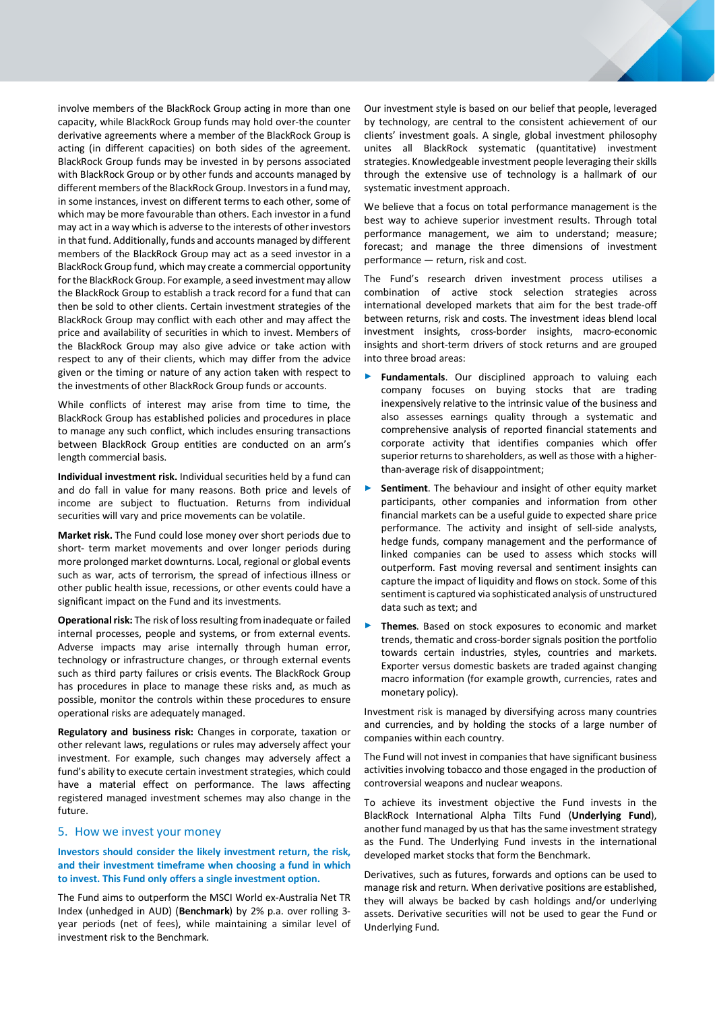involve members of the BlackRock Group acting in more than one capacity, while BlackRock Group funds may hold over-the counter derivative agreements where a member of the BlackRock Group is acting (in different capacities) on both sides of the agreement. BlackRock Group funds may be invested in by persons associated with BlackRock Group or by other funds and accounts managed by different members of the BlackRock Group. Investors in a fund may, in some instances, invest on different terms to each other, some of which may be more favourable than others. Each investor in a fund may act in a way which is adverse to the interests of other investors in that fund. Additionally, funds and accounts managed by different members of the BlackRock Group may act as a seed investor in a BlackRock Group fund, which may create a commercial opportunity for the BlackRock Group. For example, a seed investment may allow the BlackRock Group to establish a track record for a fund that can then be sold to other clients. Certain investment strategies of the BlackRock Group may conflict with each other and may affect the price and availability of securities in which to invest. Members of the BlackRock Group may also give advice or take action with respect to any of their clients, which may differ from the advice given or the timing or nature of any action taken with respect to the investments of other BlackRock Group funds or accounts.

While conflicts of interest may arise from time to time, the BlackRock Group has established policies and procedures in place to manage any such conflict, which includes ensuring transactions between BlackRock Group entities are conducted on an arm's length commercial basis.

**Individual investment risk.** Individual securities held by a fund can and do fall in value for many reasons. Both price and levels of income are subject to fluctuation. Returns from individual securities will vary and price movements can be volatile.

**Market risk.** The Fund could lose money over short periods due to short- term market movements and over longer periods during more prolonged market downturns. Local, regional or global events such as war, acts of terrorism, the spread of infectious illness or other public health issue, recessions, or other events could have a significant impact on the Fund and its investments.

**Operational risk:** The risk of loss resulting from inadequate or failed internal processes, people and systems, or from external events. Adverse impacts may arise internally through human error, technology or infrastructure changes, or through external events such as third party failures or crisis events. The BlackRock Group has procedures in place to manage these risks and, as much as possible, monitor the controls within these procedures to ensure operational risks are adequately managed.

**Regulatory and business risk:** Changes in corporate, taxation or other relevant laws, regulations or rules may adversely affect your investment. For example, such changes may adversely affect a fund's ability to execute certain investment strategies, which could have a material effect on performance. The laws affecting registered managed investment schemes may also change in the future.

# <span id="page-4-0"></span>5. How we invest your money

**Investors should consider the likely investment return, the risk, and their investment timeframe when choosing a fund in which to invest. This Fund only offers a single investment option.**

The Fund aims to outperform the MSCI World ex-Australia Net TR Index (unhedged in AUD) (**Benchmark**) by 2% p.a. over rolling 3 year periods (net of fees), while maintaining a similar level of investment risk to the Benchmark.

Our investment style is based on our belief that people, leveraged by technology, are central to the consistent achievement of our clients' investment goals. A single, global investment philosophy unites all BlackRock systematic (quantitative) investment strategies. Knowledgeable investment people leveraging their skills through the extensive use of technology is a hallmark of our systematic investment approach.

We believe that a focus on total performance management is the best way to achieve superior investment results. Through total performance management, we aim to understand; measure; forecast; and manage the three dimensions of investment performance — return, risk and cost.

The Fund's research driven investment process utilises a combination of active stock selection strategies across international developed markets that aim for the best trade-off between returns, risk and costs. The investment ideas blend local investment insights, cross-border insights, macro-economic insights and short-term drivers of stock returns and are grouped into three broad areas:

- Fundamentals. Our disciplined approach to valuing each company focuses on buying stocks that are trading inexpensively relative to the intrinsic value of the business and also assesses earnings quality through a systematic and comprehensive analysis of reported financial statements and corporate activity that identifies companies which offer superior returns to shareholders, as well as those with a higherthan-average risk of disappointment;
- **Sentiment**. The behaviour and insight of other equity market participants, other companies and information from other financial markets can be a useful guide to expected share price performance. The activity and insight of sell-side analysts, hedge funds, company management and the performance of linked companies can be used to assess which stocks will outperform. Fast moving reversal and sentiment insights can capture the impact of liquidity and flows on stock. Some of this sentiment is captured via sophisticated analysis of unstructured data such as text; and
- Themes. Based on stock exposures to economic and market trends, thematic and cross-border signals position the portfolio towards certain industries, styles, countries and markets. Exporter versus domestic baskets are traded against changing macro information (for example growth, currencies, rates and monetary policy).

Investment risk is managed by diversifying across many countries and currencies, and by holding the stocks of a large number of companies within each country.

The Fund will not invest in companies that have significant business activities involving tobacco and those engaged in the production of controversial weapons and nuclear weapons.

To achieve its investment objective the Fund invests in the BlackRock International Alpha Tilts Fund (**Underlying Fund**), another fund managed by us that has the same investment strategy as the Fund. The Underlying Fund invests in the international developed market stocks that form the Benchmark.

Derivatives, such as futures, forwards and options can be used to manage risk and return. When derivative positions are established, they will always be backed by cash holdings and/or underlying assets. Derivative securities will not be used to gear the Fund or Underlying Fund.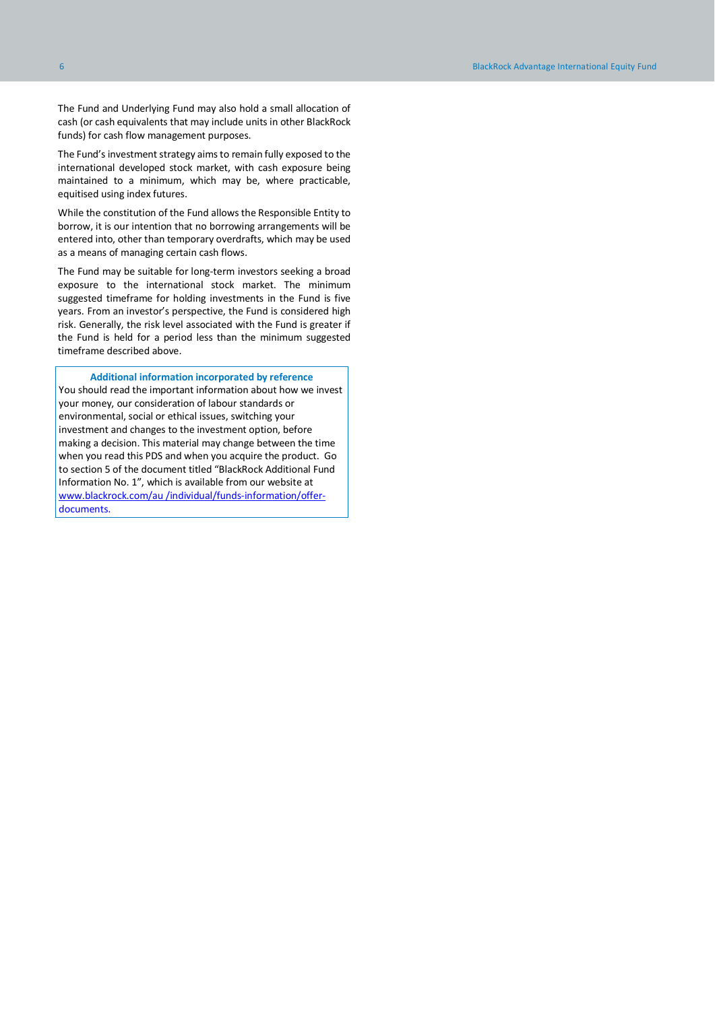The Fund and Underlying Fund may also hold a small allocation of cash (or cash equivalents that may include units in other BlackRock funds) for cash flow management purposes.

The Fund's investment strategy aims to remain fully exposed to the international developed stock market, with cash exposure being maintained to a minimum, which may be, where practicable, equitised using index futures.

While the constitution of the Fund allows the Responsible Entity to borrow, it is our intention that no borrowing arrangements will be entered into, other than temporary overdrafts, which may be used as a means of managing certain cash flows.

The Fund may be suitable for long-term investors seeking a broad exposure to the international stock market. The minimum suggested timeframe for holding investments in the Fund is five years. From an investor's perspective, the Fund is considered high risk. Generally, the risk level associated with the Fund is greater if the Fund is held for a period less than the minimum suggested timeframe described above.

#### **Additional information incorporated by reference**

You should read the important information about how we invest your money, our consideration of labour standards or environmental, social or ethical issues, switching your investment and changes to the investment option, before making a decision. This material may change between the time when you read this PDS and when you acquire the product. Go to section 5 of the document titled "BlackRock Additional Fund Information No. 1", which is available from our website at www.blackrock.com/au /individual/funds-information/offerdocuments.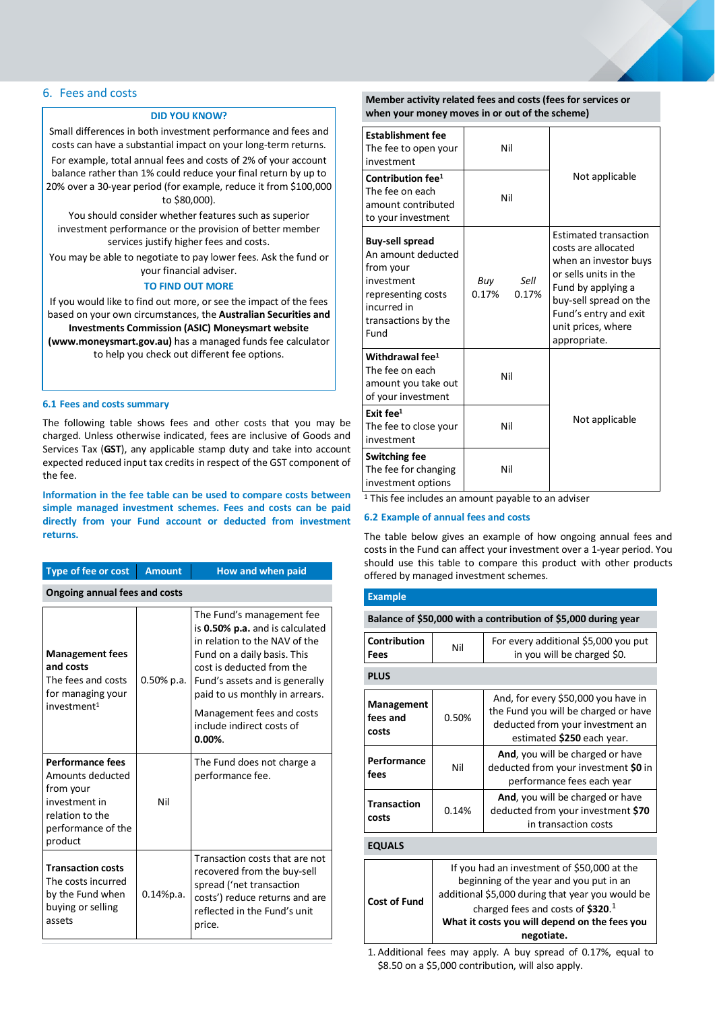# <span id="page-6-0"></span>6. Fees and costs

# **DID YOU KNOW?**

Small differences in both investment performance and fees and costs can have a substantial impact on your long-term returns. For example, total annual fees and costs of 2% of your account balance rather than 1% could reduce your final return by up to 20% over a 30-year period (for example, reduce it from \$100,000 to \$80,000).

You should consider whether features such as superior investment performance or the provision of better member services justify higher fees and costs.

You may be able to negotiate to pay lower fees. Ask the fund or your financial adviser.

# **TO FIND OUT MORE**

If you would like to find out more, or see the impact of the fees based on your own circumstances, the **Australian Securities and Investments Commission (ASIC) Moneysmart website (www.moneysmart.gov.au)** has a managed funds fee calculator to help you check out different fee options.

#### **6.1 Fees and costs summary**

The following table shows fees and other costs that you may be charged. Unless otherwise indicated, fees are inclusive of Goods and Services Tax (**GST**), any applicable stamp duty and take into account expected reduced input tax credits in respect of the GST component of the fee.

**Information in the fee table can be used to compare costs between simple managed investment schemes. Fees and costs can be paid directly from your Fund account or deducted from investment returns.**

| <b>Type of fee or cost</b>                                                                                                    | <b>Amount</b> | How and when paid                                                                                                                                                                                                                                                                                     |  |  |
|-------------------------------------------------------------------------------------------------------------------------------|---------------|-------------------------------------------------------------------------------------------------------------------------------------------------------------------------------------------------------------------------------------------------------------------------------------------------------|--|--|
| <b>Ongoing annual fees and costs</b>                                                                                          |               |                                                                                                                                                                                                                                                                                                       |  |  |
| <b>Management fees</b><br>and costs<br>The fees and costs<br>for managing your<br>investment <sup>1</sup>                     | $0.50\%$ p.a. | The Fund's management fee<br>is 0.50% p.a. and is calculated<br>in relation to the NAV of the<br>Fund on a daily basis. This<br>cost is deducted from the<br>Fund's assets and is generally<br>paid to us monthly in arrears.<br>Management fees and costs<br>include indirect costs of<br>$0.00\%$ . |  |  |
| <b>Performance fees</b><br>Amounts deducted<br>from your<br>investment in<br>relation to the<br>performance of the<br>product | Nil           | The Fund does not charge a<br>performance fee.                                                                                                                                                                                                                                                        |  |  |
| <b>Transaction costs</b><br>The costs incurred<br>by the Fund when<br>buying or selling<br>assets                             | 0.14%p.a.     | Transaction costs that are not<br>recovered from the buy-sell<br>spread ('net transaction<br>costs') reduce returns and are<br>reflected in the Fund's unit<br>price.                                                                                                                                 |  |  |

### **Member activity related fees and costs (fees for services or when your money moves in or out of the scheme)**

| <b>Establishment fee</b><br>The fee to open your<br>investment                                                                              | Nil                           |                                                                                                                                                                                                                      |
|---------------------------------------------------------------------------------------------------------------------------------------------|-------------------------------|----------------------------------------------------------------------------------------------------------------------------------------------------------------------------------------------------------------------|
| Contribution fee <sup>1</sup><br>The fee on each<br>amount contributed<br>to your investment                                                | Nil                           | Not applicable                                                                                                                                                                                                       |
| <b>Buy-sell spread</b><br>An amount deducted<br>from your<br>investment<br>representing costs<br>incurred in<br>transactions by the<br>Fund | Sell<br>Buy<br>0.17%<br>0.17% | <b>Estimated transaction</b><br>costs are allocated<br>when an investor buys<br>or sells units in the<br>Fund by applying a<br>buy-sell spread on the<br>Fund's entry and exit<br>unit prices, where<br>appropriate. |
| Withdrawal fee <sup>1</sup><br>The fee on each<br>amount you take out<br>of your investment                                                 | Nil                           |                                                                                                                                                                                                                      |
| Exit fee <sup>1</sup><br>The fee to close your<br>investment                                                                                | Nil                           | Not applicable                                                                                                                                                                                                       |
| <b>Switching fee</b><br>The fee for changing<br>investment options                                                                          | Nil                           |                                                                                                                                                                                                                      |

<sup>1</sup> This fee includes an amount payable to an adviser

### **6.2 Example of annual fees and costs**

The table below gives an example of how ongoing annual fees and costs in the Fund can affect your investment over a 1-year period. You should use this table to compare this product with other products offered by managed investment schemes.

# **Example**

**Balance of \$50,000 with a contribution of \$5,000 during year**

| <b>Contribution</b><br>Fees     | Nil                                                                                                                                                                                                                                             | For every additional \$5,000 you put<br>in you will be charged \$0.                                                                           |  |  |  |
|---------------------------------|-------------------------------------------------------------------------------------------------------------------------------------------------------------------------------------------------------------------------------------------------|-----------------------------------------------------------------------------------------------------------------------------------------------|--|--|--|
| <b>PLUS</b>                     |                                                                                                                                                                                                                                                 |                                                                                                                                               |  |  |  |
| Management<br>fees and<br>costs | 0.50%                                                                                                                                                                                                                                           | And, for every \$50,000 you have in<br>the Fund you will be charged or have<br>deducted from your investment an<br>estimated \$250 each year. |  |  |  |
| Performance<br>fees             | Nil                                                                                                                                                                                                                                             | And, you will be charged or have<br>deducted from your investment \$0 in<br>performance fees each year                                        |  |  |  |
| <b>Transaction</b><br>costs     | 0.14%                                                                                                                                                                                                                                           | And, you will be charged or have<br>deducted from your investment \$70<br>in transaction costs                                                |  |  |  |
| <b>EQUALS</b>                   |                                                                                                                                                                                                                                                 |                                                                                                                                               |  |  |  |
| <b>Cost of Fund</b>             | If you had an investment of \$50,000 at the<br>beginning of the year and you put in an<br>additional \$5,000 during that year you would be<br>charged fees and costs of $$320.1$<br>What it costs you will depend on the fees you<br>negotiate. |                                                                                                                                               |  |  |  |

1. Additional fees may apply. A buy spread of 0.17%, equal to \$8.50 on a \$5,000 contribution, will also apply.